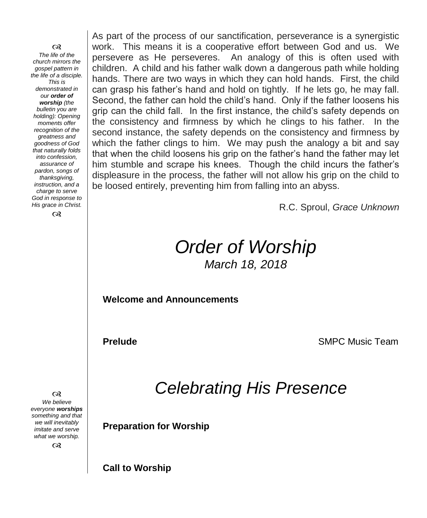രു

*The life of the church mirrors the gospel pattern in the life of a disciple. This is demonstrated in our order of worship (the bulletin you are holding): Opening moments offer recognition of the greatness and goodness of God that naturally folds into confession, assurance of pardon, songs of thanksgiving, instruction, and a charge to serve God in response to His grace in Christ.*

 $\infty$ 

As part of the process of our sanctification, perseverance is a synergistic work. This means it is a cooperative effort between God and us. We persevere as He perseveres. An analogy of this is often used with children. A child and his father walk down a dangerous path while holding hands. There are two ways in which they can hold hands. First, the child can grasp his father's hand and hold on tightly. If he lets go, he may fall. Second, the father can hold the child's hand. Only if the father loosens his grip can the child fall. In the first instance, the child's safety depends on the consistency and firmness by which he clings to his father. In the second instance, the safety depends on the consistency and firmness by which the father clings to him. We may push the analogy a bit and say that when the child loosens his grip on the father's hand the father may let him stumble and scrape his knees. Though the child incurs the father's displeasure in the process, the father will not allow his grip on the child to be loosed entirely, preventing him from falling into an abyss.

R.C. Sproul, *Grace Unknown*

# *Order of Worship March 18, 2018*

**Welcome and Announcements** 

**Prelude SMPC Music Team** 

*Celebrating His Presence*

**Preparation for Worship**

 $\infty$ *We believe everyone worships something and that we will inevitably imitate and serve what we worship.*

 $\infty$ 

**Call to Worship**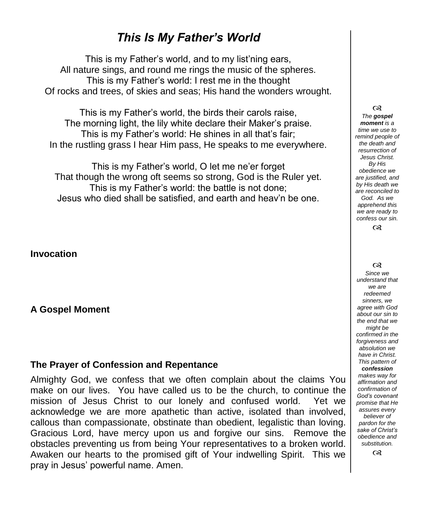## *This Is My Father's World*

This is my Father's world, and to my list'ning ears, All nature sings, and round me rings the music of the spheres. This is my Father's world: I rest me in the thought Of rocks and trees, of skies and seas; His hand the wonders wrought.

This is my Father's world, the birds their carols raise, The morning light, the lily white declare their Maker's praise. This is my Father's world: He shines in all that's fair; In the rustling grass I hear Him pass, He speaks to me everywhere.

This is my Father's world, O let me ne'er forget That though the wrong oft seems so strong, God is the Ruler yet. This is my Father's world: the battle is not done; Jesus who died shall be satisfied, and earth and heav'n be one.

**Invocation**

**A Gospel Moment** 

#### **The Prayer of Confession and Repentance**

Almighty God, we confess that we often complain about the claims You make on our lives. You have called us to be the church, to continue the mission of Jesus Christ to our lonely and confused world. Yet we acknowledge we are more apathetic than active, isolated than involved, callous than compassionate, obstinate than obedient, legalistic than loving. Gracious Lord, have mercy upon us and forgive our sins. Remove the obstacles preventing us from being Your representatives to a broken world. Awaken our hearts to the promised gift of Your indwelling Spirit. This we pray in Jesus' powerful name. Amen.

 $\infty$ *The gospel moment is a time we use to remind people of the death and resurrection of Jesus Christ. By His obedience we are justified, and by His death we are reconciled to God. As we apprehend this we are ready to confess our sin.*

 $\infty$ 

#### $\infty$

*Since we understand that we are redeemed sinners, we agree with God about our sin to the end that we might be confirmed in the forgiveness and absolution we have in Christ. This pattern of confession makes way for affirmation and confirmation of God's covenant promise that He assures every believer of pardon for the sake of Christ's* 

> *substitution.*  $\infty$

*obedience and*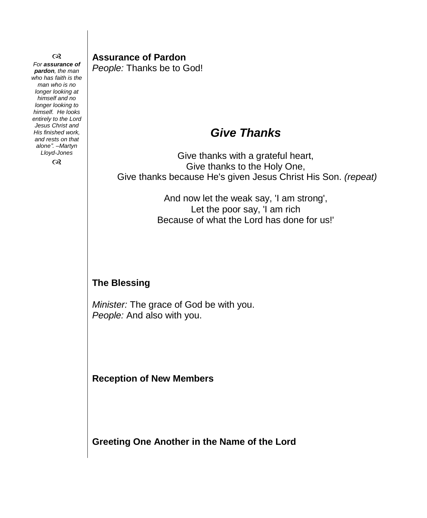$\infty$ *For assurance of pardon, the man who has faith is the man who is no longer looking at himself and no longer looking to himself. He looks entirely to the Lord Jesus Christ and His finished work, and rests on that alone". –Martyn Lloyd-Jones*

 $\infty$ 

**Assurance of Pardon** *People:* Thanks be to God!

# *Give Thanks*

Give thanks with a grateful heart, Give thanks to the Holy One, Give thanks because He's given Jesus Christ His Son. *(repeat)*

> And now let the weak say, 'I am strong', Let the poor say, 'I am rich Because of what the Lord has done for us!'

#### **The Blessing**

*Minister:* The grace of God be with you. *People:* And also with you.

**Reception of New Members** 

**Greeting One Another in the Name of the Lord**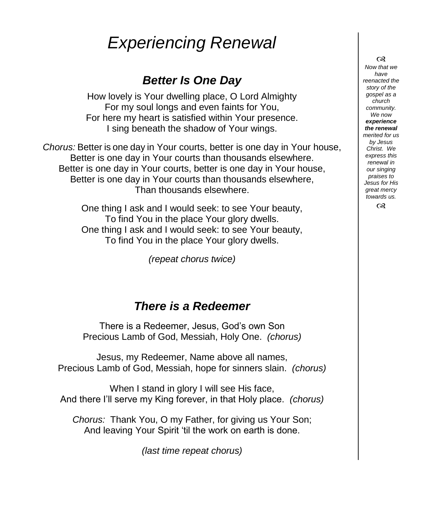# *Experiencing Renewal*

## *Better Is One Day*

How lovely is Your dwelling place, O Lord Almighty For my soul longs and even faints for You, For here my heart is satisfied within Your presence. I sing beneath the shadow of Your wings.

*Chorus:* Better is one day in Your courts, better is one day in Your house, Better is one day in Your courts than thousands elsewhere. Better is one day in Your courts, better is one day in Your house, Better is one day in Your courts than thousands elsewhere, Than thousands elsewhere.

> One thing I ask and I would seek: to see Your beauty, To find You in the place Your glory dwells. One thing I ask and I would seek: to see Your beauty, To find You in the place Your glory dwells.

> > *(repeat chorus twice)*

### *There is a Redeemer*

There is a Redeemer, Jesus, God's own Son Precious Lamb of God, Messiah, Holy One. *(chorus)*

Jesus, my Redeemer, Name above all names, Precious Lamb of God, Messiah, hope for sinners slain. *(chorus)*

When I stand in glory I will see His face, And there I'll serve my King forever, in that Holy place. *(chorus)*

*Chorus:* Thank You, O my Father, for giving us Your Son; And leaving Your Spirit 'til the work on earth is done.

*(last time repeat chorus)*

 $\infty$ *Now that we* 

*have reenacted the story of the gospel as a church community. We now experience the renewal merited for us by Jesus Christ. We express this renewal in our singing praises to Jesus for His great mercy towards us.*  $\infty$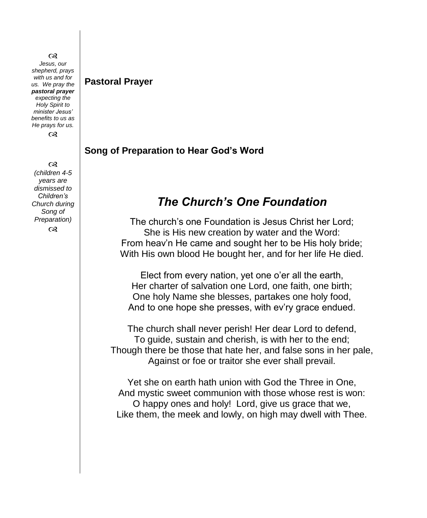#### രു *Jesus, our shepherd, prays with us and for us. We pray the pastoral prayer expecting the Holy Spirit to minister Jesus' benefits to us as He prays for us.*  $\infty$

രു *(children 4-5 years are dismissed to Children's Church during Song of Preparation)*  $\infty$ 

#### **Pastoral Prayer**

#### **Song of Preparation to Hear God's Word**

### *The Church's One Foundation*

The church's one Foundation is Jesus Christ her Lord; She is His new creation by water and the Word: From heav'n He came and sought her to be His holy bride; With His own blood He bought her, and for her life He died.

Elect from every nation, yet one o'er all the earth, Her charter of salvation one Lord, one faith, one birth; One holy Name she blesses, partakes one holy food, And to one hope she presses, with ev'ry grace endued.

The church shall never perish! Her dear Lord to defend, To guide, sustain and cherish, is with her to the end; Though there be those that hate her, and false sons in her pale, Against or foe or traitor she ever shall prevail.

Yet she on earth hath union with God the Three in One, And mystic sweet communion with those whose rest is won: O happy ones and holy! Lord, give us grace that we, Like them, the meek and lowly, on high may dwell with Thee.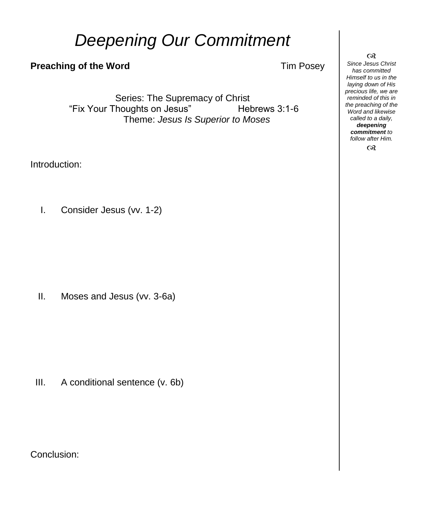# *Deepening Our Commitment*

#### **Preaching of the Word Tim Posey**

Series: The Supremacy of Christ "Fix Your Thoughts on Jesus" Hebrews 3:1-6 Theme: *Jesus Is Superior to Moses*

Introduction:

I. Consider Jesus (vv. 1-2)

II. Moses and Jesus (vv. 3-6a)

III. A conditional sentence (v. 6b)

Conclusion:

 $\infty$ 

*Since Jesus Christ has committed Himself to us in the laying down of His precious life, we are reminded of this in the preaching of the Word and likewise called to a daily, deepening commitment to follow after Him.*  $\infty$